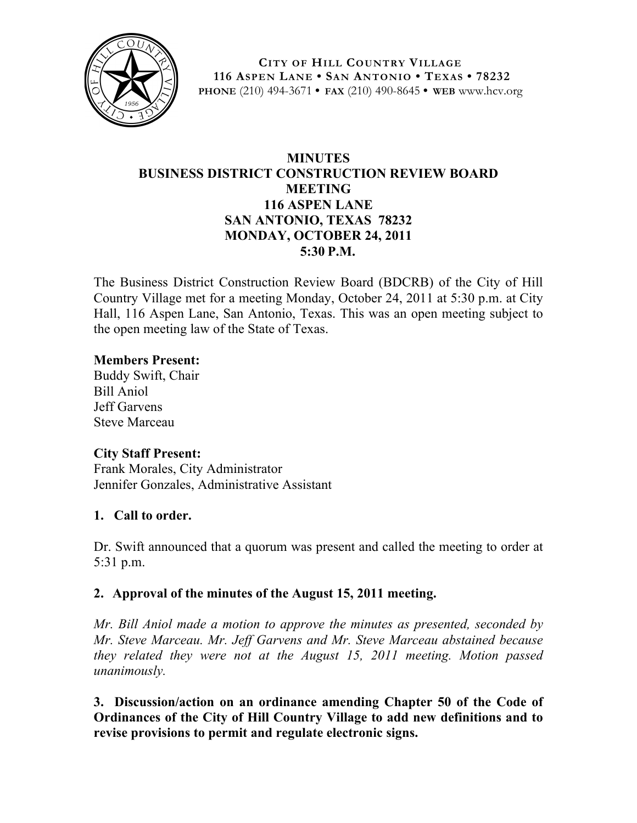

**CITY OF HILL COUNTRY VILLAGE 116 ASPEN LANE • SAN ANTONIO • TEXAS • 78232 PHONE** (210) 494-3671 **• FAX** (210) 490-8645 **• WEB** www.hcv.org

# **MINUTES BUSINESS DISTRICT CONSTRUCTION REVIEW BOARD MEETING 116 ASPEN LANE SAN ANTONIO, TEXAS 78232 MONDAY, OCTOBER 24, 2011 5:30 P.M.**

The Business District Construction Review Board (BDCRB) of the City of Hill Country Village met for a meeting Monday, October 24, 2011 at 5:30 p.m. at City Hall, 116 Aspen Lane, San Antonio, Texas. This was an open meeting subject to the open meeting law of the State of Texas.

### **Members Present:**

Buddy Swift, Chair Bill Aniol Jeff Garvens Steve Marceau

## **City Staff Present:**

Frank Morales, City Administrator Jennifer Gonzales, Administrative Assistant

## **1. Call to order.**

Dr. Swift announced that a quorum was present and called the meeting to order at 5:31 p.m.

## **2. Approval of the minutes of the August 15, 2011 meeting.**

*Mr. Bill Aniol made a motion to approve the minutes as presented, seconded by Mr. Steve Marceau. Mr. Jeff Garvens and Mr. Steve Marceau abstained because they related they were not at the August 15, 2011 meeting. Motion passed unanimously.*

**3. Discussion/action on an ordinance amending Chapter 50 of the Code of Ordinances of the City of Hill Country Village to add new definitions and to revise provisions to permit and regulate electronic signs.**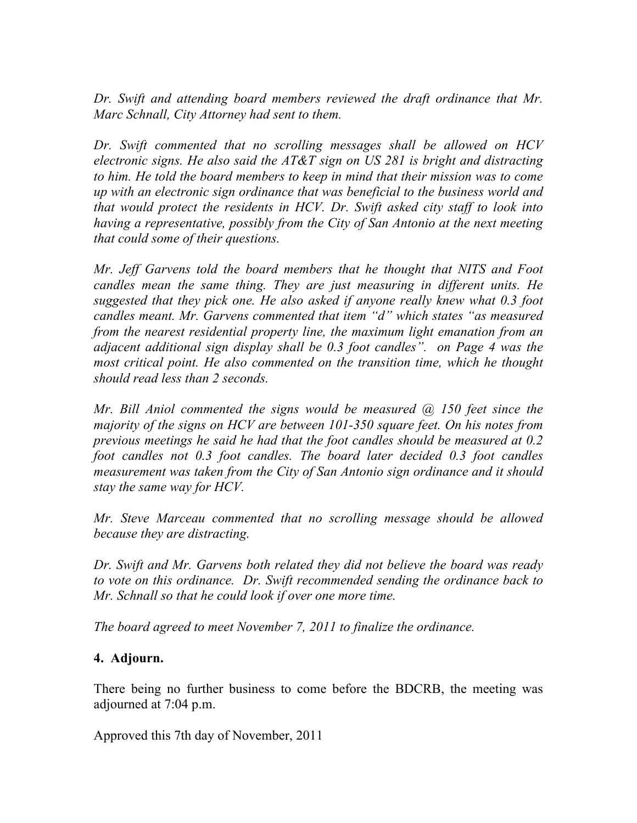*Dr. Swift and attending board members reviewed the draft ordinance that Mr. Marc Schnall, City Attorney had sent to them.*

*Dr. Swift commented that no scrolling messages shall be allowed on HCV electronic signs. He also said the AT&T sign on US 281 is bright and distracting to him. He told the board members to keep in mind that their mission was to come up with an electronic sign ordinance that was beneficial to the business world and that would protect the residents in HCV. Dr. Swift asked city staff to look into having a representative, possibly from the City of San Antonio at the next meeting that could some of their questions.* 

*Mr. Jeff Garvens told the board members that he thought that NITS and Foot candles mean the same thing. They are just measuring in different units. He suggested that they pick one. He also asked if anyone really knew what 0.3 foot candles meant. Mr. Garvens commented that item "d" which states "as measured from the nearest residential property line, the maximum light emanation from an adjacent additional sign display shall be 0.3 foot candles". on Page 4 was the most critical point. He also commented on the transition time, which he thought should read less than 2 seconds.*

*Mr. Bill Aniol commented the signs would be measured @ 150 feet since the majority of the signs on HCV are between 101-350 square feet. On his notes from previous meetings he said he had that the foot candles should be measured at 0.2 foot candles not 0.3 foot candles. The board later decided 0.3 foot candles measurement was taken from the City of San Antonio sign ordinance and it should stay the same way for HCV.*

*Mr. Steve Marceau commented that no scrolling message should be allowed because they are distracting.* 

*Dr. Swift and Mr. Garvens both related they did not believe the board was ready to vote on this ordinance. Dr. Swift recommended sending the ordinance back to Mr. Schnall so that he could look if over one more time.* 

*The board agreed to meet November 7, 2011 to finalize the ordinance.*

## **4. Adjourn.**

There being no further business to come before the BDCRB, the meeting was adjourned at 7:04 p.m.

Approved this 7th day of November, 2011